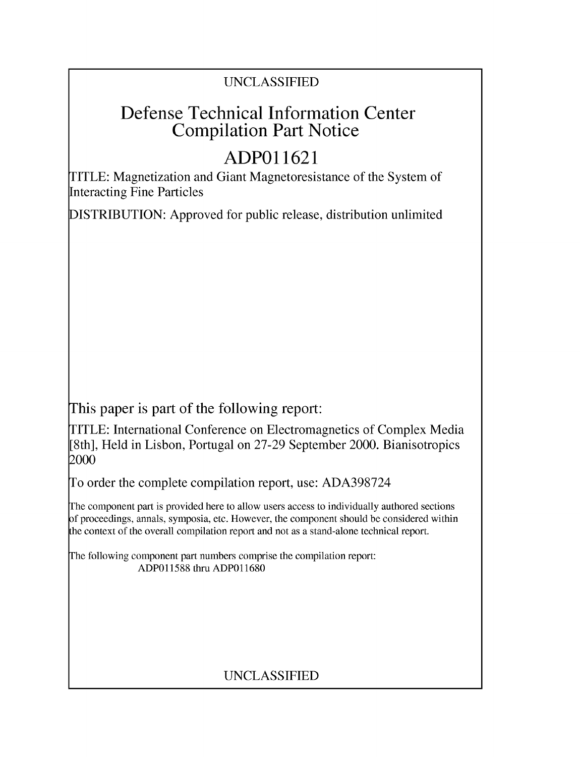### UNCLASSIFIED

# Defense Technical Information Center Compilation Part Notice

# **ADPO 11621**

TITLE: Magnetization and Giant Magnetoresistance of the System of Interacting Fine Particles

DISTRIBUTION: Approved for public release, distribution unlimited

This paper is part of the following report:

TITLE: International Conference on Electromagnetics of Complex Media [8th], Held in Lisbon, Portugal on 27-29 September 2000. Bianisotropics 2000

To order the complete compilation report, use: ADA398724

The component part is provided here to allow users access to individually authored sections f proceedings, annals, symposia, etc. However, the component should be considered within [he context of the overall compilation report and not as a stand-alone technical report.

The following component part numbers comprise the compilation report: ADP011588 thru ADP011680

### UNCLASSIFIED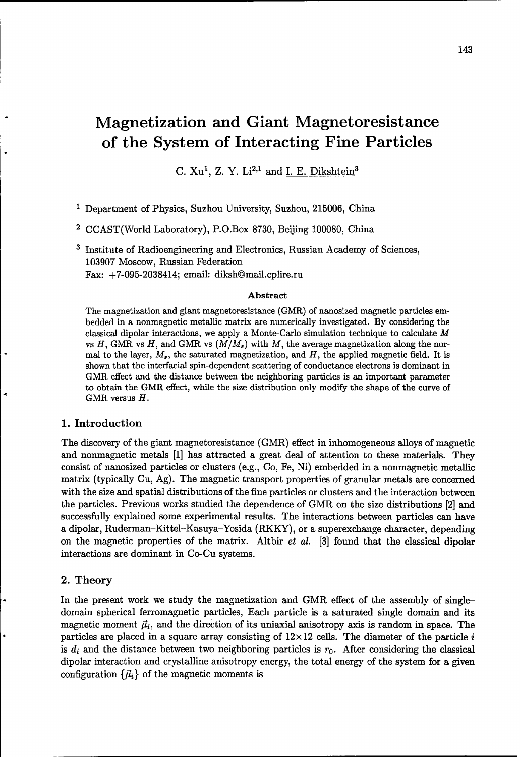# Magnetization and Giant Magnetoresistance of the System of Interacting Fine Particles

C. Xu', Z. Y. Li2,1 and I. **E.** Dikshtein<sup>3</sup>

**1** Department of Physics, Suzhou University, Suzhou, 215006, China

2 CCAST(World Laboratory), P.O.Box 8730, Beijing 100080, China

**3** Institute of Radioengineering and Electronics, Russian Academy of Sciences, 103907 Moscow, Russian Federation Fax: +7-095-2038414; email: diksh@mail.cplire.ru

#### Abstract

The magnetization and giant magnetoresistance (GMR) of nanosized magnetic particles embedded in a nonmagnetic metallic matrix are numerically investigated. By considering the classical dipolar interactions, we apply a Monte-Carlo simulation technique to calculate  $M$ vs  $H$ , GMR vs  $H$ , and GMR vs  $(M/M_s)$  with  $M$ , the average magnetization along the normal to the layer,  $M_s$ , the saturated magnetization, and H, the applied magnetic field. It is shown that the interfacial spin-dependent scattering of conductance electrons is dominant in GMR effect and the distance between the neighboring particles is an important parameter to obtain the GMR effect, while the size distribution only modify the shape of the curve of GMR versus H.

#### 1. Introduction

The discovery of the giant magnetoresistance (GMR) effect in inhomogeneous alloys of magnetic and nonmagnetic metals [1] has attracted a great deal of attention to these materials. They consist of nanosized particles or clusters (e.g., Co, Fe, Ni) embedded in a nonmagnetic metallic matrix (typically Cu, Ag). The magnetic transport properties of granular metals are concerned with the size and spatial distributions of the fine particles or clusters and the interaction between the particles. Previous works studied the dependence of GMR on the size distributions [2] and successfully explained some experimental results. The interactions between particles can have a dipolar, Ruderman-Kittel-Kasuya-Yosida (RKKY), or a superexchange character, depending on the magnetic properties of the matrix. Altbir et al. [3] found that the classical dipolar interactions are dominant in Co-Cu systems.

#### 2. Theory

In the present work we study the magnetization and GMR effect of the assembly of singledomain spherical ferromagnetic particles, Each particle is a saturated single domain and its magnetic moment  $\vec{\mu}_i$ , and the direction of its uniaxial anisotropy axis is random in space. The particles are placed in a square array consisting of  $12 \times 12$  cells. The diameter of the particle i is  $d_i$  and the distance between two neighboring particles is  $r_0$ . After considering the classical dipolar interaction and crystalline anisotropy energy, the total energy of the system for a given configuration  $\{\vec{\mu}_i\}$  of the magnetic moments is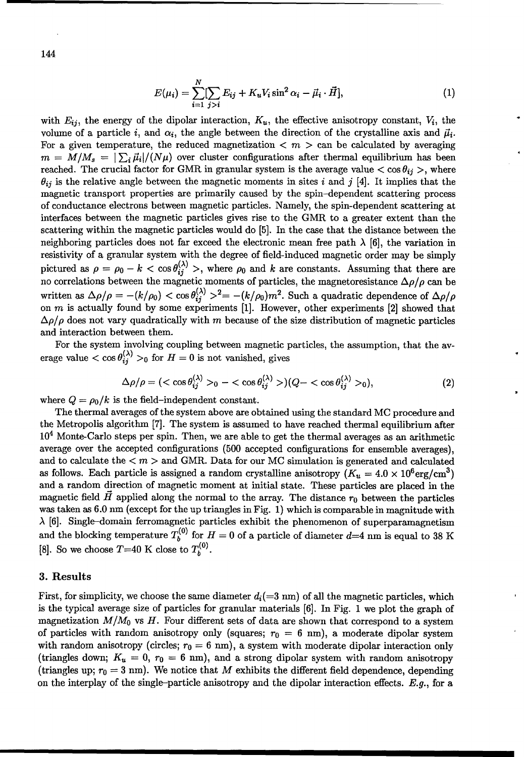144

$$
E(\mu_i) = \sum_{i=1}^{N} [\sum_{j>i} E_{ij} + K_u V_i \sin^2 \alpha_i - \vec{\mu}_i \cdot \vec{H}],
$$
 (1)

with  $E_{ij}$ , the energy of the dipolar interaction,  $K_u$ , the effective anisotropy constant,  $V_i$ , the volume of a particle i, and  $\alpha_i$ , the angle between the direction of the crystalline axis and  $\vec{\mu}_i$ . For a given temperature, the reduced magnetization  $\lt m >$  can be calculated by averaging  $m = M/M_s = |\sum_i \vec{\mu}_i|/(N\mu)$  over cluster configurations after thermal equilibrium has been reached. The crucial factor for GMR in granular system is the average value  $<$  cos  $\theta_{ij}$ , where  $\theta_{ij}$  is the relative angle between the magnetic moments in sites i and j [4]. It implies that the magnetic transport properties are primarily caused by the spin-dependent scattering process of conductance electrons between magnetic particles. Namely, the spin-dependent scattering at interfaces between the magnetic particles gives rise to the GMR to a greater extent than the scattering within the magnetic particles would do [5]. In the case that the distance between the neighboring particles does not far exceed the electronic mean free path  $\lambda$  [6], the variation in resistivity of a granular system with the degree of field-induced magnetic order may be simply pictured as  $\rho = \rho_0 - k < \cos \theta_{ij}^{(\lambda)} >$ , where  $\rho_0$  and k are constants. Assuming that there are no correlations between the magnetic moments of particles, the magnetoresistance  $\Delta \rho / \rho$  can be written as  $\Delta \rho/\rho = -(k/\rho_0) < \cos \theta_{ij}^{(\lambda)} >^2 = -(k/\rho_0)m^2$ . Such a quadratic dependence of  $\Delta \rho/\rho$ on m is actually found by some experiments [1]. However, other experiments [2] showed that  $\Delta \rho / \rho$  does not vary quadratically with m because of the size distribution of magnetic particles and interaction between them.

For the system involving coupling between magnetic particles, the assumption, that the average value  $\lt \cos \theta_{ij}^{(\lambda)} >_0$  for  $H = 0$  is not vanished, gives

$$
\Delta \rho/\rho = \left( \langle \cos \theta_{ij}^{(\lambda)} \rangle_0 - \langle \cos \theta_{ij}^{(\lambda)} \rangle \right) (Q - \langle \cos \theta_{ij}^{(\lambda)} \rangle_0), \tag{2}
$$

where  $Q = \rho_0/k$  is the field-independent constant.

The thermal averages of the system above are obtained using the standard **MC** procedure and the Metropolis algorithm [7]. The system is assumed to have reached thermal equilibrium after  $10<sup>4</sup>$  Monte-Carlo steps per spin. Then, we are able to get the thermal averages as an arithmetic average over the accepted configurations (500 accepted configurations for ensemble averages), and to calculate the  $\lt m$   $>$  and GMR. Data for our MC simulation is generated and calculated as follows. Each particle is assigned a random crystalline anisotropy  $(K_u = 4.0 \times 10^6 \text{erg/cm}^3)$ and a random direction of magnetic moment at initial state. These particles are placed in the magnetic field  $\hat{H}$  applied along the normal to the array. The distance  $r_0$  between the particles was taken as 6.0 nm (except for the up triangles in Fig. 1) which is comparable in magnitude with  $\lambda$  [6]. Single-domain ferromagnetic particles exhibit the phenomenon of superparamagnetism and the blocking temperature  $T_b^{(0)}$  for  $H = 0$  of a particle of diameter  $d=4$  nm is equal to 38 K [8]. So we choose  $T=40$  K close to  $T_b^{(0)}$ .

#### 3. Results

First, for simplicity, we choose the same diameter  $d_i(=3 \text{ nm})$  of all the magnetic particles, which is the typical average size of particles for granular materials [6]. In Fig. 1 we plot the graph of magnetization  $M/M_0$  vs H. Four different sets of data are shown that correspond to a system of particles with random anisotropy only (squares;  $r_0 = 6$  nm), a moderate dipolar system with random anisotropy (circles;  $r_0 = 6$  nm), a system with moderate dipolar interaction only (triangles down;  $K_u = 0$ ,  $r_0 = 6$  nm), and a strong dipolar system with random anisotropy (triangles up;  $r_0 = 3$  nm). We notice that M exhibits the different field dependence, depending on the interplay of the single-particle anisotropy and the dipolar interaction effects.  $E.g.,$  for a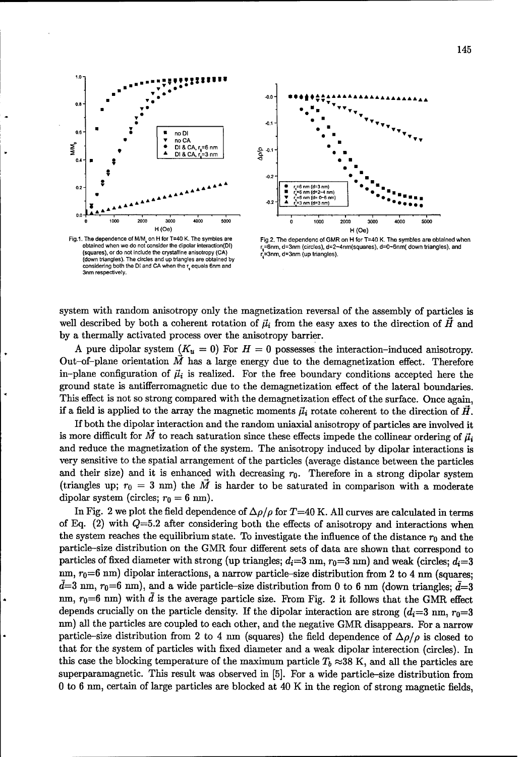

Fig.1. The dependence of M/M, on H for T=40 K. The symbles are obtained when we do not consider the dipolar interaction(DI) (squares), or do not include the crystalline anisotropy (CA) Glown triangles). The circles and up triangles are obtained by<br>considering both the DI and CA when the  $r_q$  equals 6nm and 3nm respectively



Fig.2. The dependenc of GMR on H for T=40 K. The symbles are obtained when r<sub>s</sub>=6nm, d=3nm (circles), d=2~4nm(squares), d=0~6nm( down triangles), and r =3nm, d=3nm (up triangles).

system with random anisotropy only the magnetization reversal of the assembly of particles is well described by both a coherent rotation of  $\vec{\mu}_i$  from the easy axes to the direction of  $\vec{H}$  and by a thermally activated process over the anisotropy barrier.

A pure dipolar system  $(K_u = 0)$  For  $H = 0$  possesses the interaction-induced anisotropy. Out-of-plane orientation  $\dot{M}$  has a large energy due to the demagnetization effect. Therefore in-plane configuration of  $\vec{\mu}_i$  is realized. For the free boundary conditions accepted here the ground state is antifferromagnetic due to the demagnetization effect of the lateral boundaries. This effect is not so strong compared with the demagnetization effect of the surface. Once again, if a field is applied to the array the magnetic moments  $\vec{\mu}_i$  rotate coherent to the direction of  $\vec{H}$ .

If both the dipolar interaction and the random uniaxial anisotropy of particles are involved it is more difficult for  $\vec{M}$  to reach saturation since these effects impede the collinear ordering of  $\vec{\mu}_i$ and reduce the magnetization of the system. The anisotropy induced by dipolar interactions is very sensitive to the spatial arrangement of the particles (average distance between the particles and their size) and it is enhanced with decreasing  $r_0$ . Therefore in a strong dipolar system (triangles up;  $r_0 = 3$  nm) the  $\overline{M}$  is harder to be saturated in comparison with a moderate dipolar system (circles;  $r_0 = 6$  nm).

In Fig. 2 we plot the field dependence of  $\Delta \rho / \rho$  for T=40 K. All curves are calculated in terms of Eq. (2) with  $Q=5.2$  after considering both the effects of anisotropy and interactions when the system reaches the equilibrium state. To investigate the influence of the distance  $r_0$  and the particle-size distribution on the GMR four different sets of data are shown that correspond to particles of fixed diameter with strong (up triangles;  $d_i=3$  nm,  $r_0=3$  nm) and weak (circles;  $d_i=3$ nm,  $r_0=6$  nm) dipolar interactions, a narrow particle-size distribution from 2 to 4 nm (squares;  $\bar{d}=3$  nm,  $r_0=6$  nm), and a wide particle-size distribution from 0 to 6 nm (down triangles;  $\bar{d}=3$ nm,  $r_0=6$  nm) with  $\bar{d}$  is the average particle size. From Fig. 2 it follows that the GMR effect depends crucially on the particle density. If the dipolar interaction are strong  $(d_i=3 \text{ nm}, r_0=3$ nm) all the particles are coupled to each other, and the negative GMR disappears. For a narrow particle-size distribution from 2 to 4 nm (squares) the field dependence of  $\Delta \rho / \rho$  is closed to that for the system of particles with fixed diameter and a weak dipolar interection (circles). In this case the blocking temperature of the maximum particle  $T_b \approx 38$  K, and all the particles are superparamagnetic. This result was observed in [5]. For a wide particle-size distribution from 0 to 6 nm, certain of large particles are blocked at 40 K in the region of strong magnetic fields,